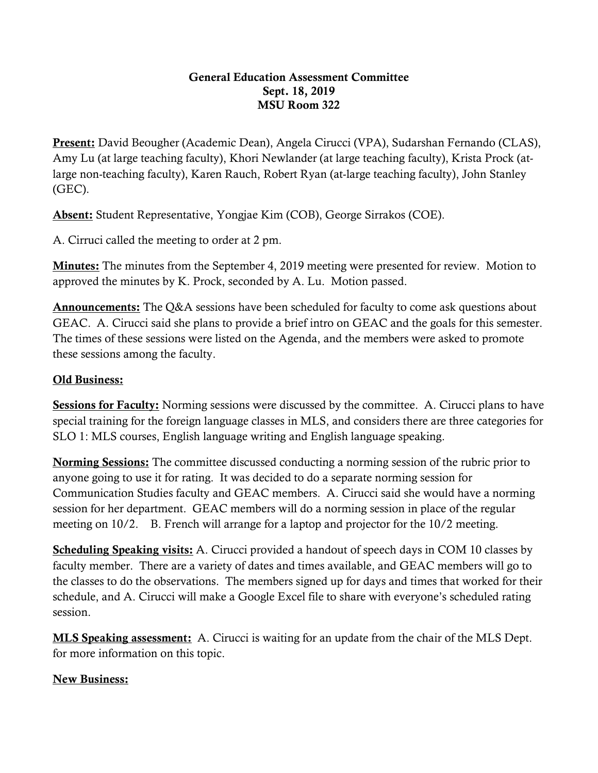## General Education Assessment Committee Sept. 18, 2019 MSU Room 322

Present: David Beougher (Academic Dean), Angela Cirucci (VPA), Sudarshan Fernando (CLAS), Amy Lu (at large teaching faculty), Khori Newlander (at large teaching faculty), Krista Prock (atlarge non-teaching faculty), Karen Rauch, Robert Ryan (at-large teaching faculty), John Stanley (GEC).

Absent: Student Representative, Yongjae Kim (COB), George Sirrakos (COE).

A. Cirruci called the meeting to order at 2 pm.

**Minutes:** The minutes from the September 4, 2019 meeting were presented for review. Motion to approved the minutes by K. Prock, seconded by A. Lu. Motion passed.

Announcements: The Q&A sessions have been scheduled for faculty to come ask questions about GEAC. A. Cirucci said she plans to provide a brief intro on GEAC and the goals for this semester. The times of these sessions were listed on the Agenda, and the members were asked to promote these sessions among the faculty.

## Old Business:

Sessions for Faculty: Norming sessions were discussed by the committee. A. Cirucci plans to have special training for the foreign language classes in MLS, and considers there are three categories for SLO 1: MLS courses, English language writing and English language speaking.

Norming Sessions: The committee discussed conducting a norming session of the rubric prior to anyone going to use it for rating. It was decided to do a separate norming session for Communication Studies faculty and GEAC members. A. Cirucci said she would have a norming session for her department. GEAC members will do a norming session in place of the regular meeting on 10/2. B. French will arrange for a laptop and projector for the 10/2 meeting.

Scheduling Speaking visits: A. Cirucci provided a handout of speech days in COM 10 classes by faculty member. There are a variety of dates and times available, and GEAC members will go to the classes to do the observations. The members signed up for days and times that worked for their schedule, and A. Cirucci will make a Google Excel file to share with everyone's scheduled rating session.

**MLS Speaking assessment:** A. Cirucci is waiting for an update from the chair of the MLS Dept. for more information on this topic.

## New Business: